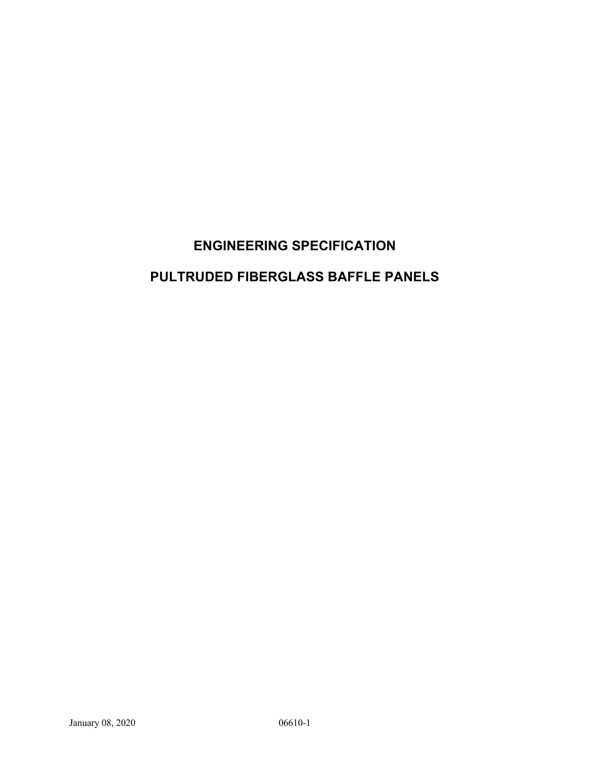# **ENGINEERING SPECIFICATION**

# **PULTRUDED FIBERGLASS BAFFLE PANELS**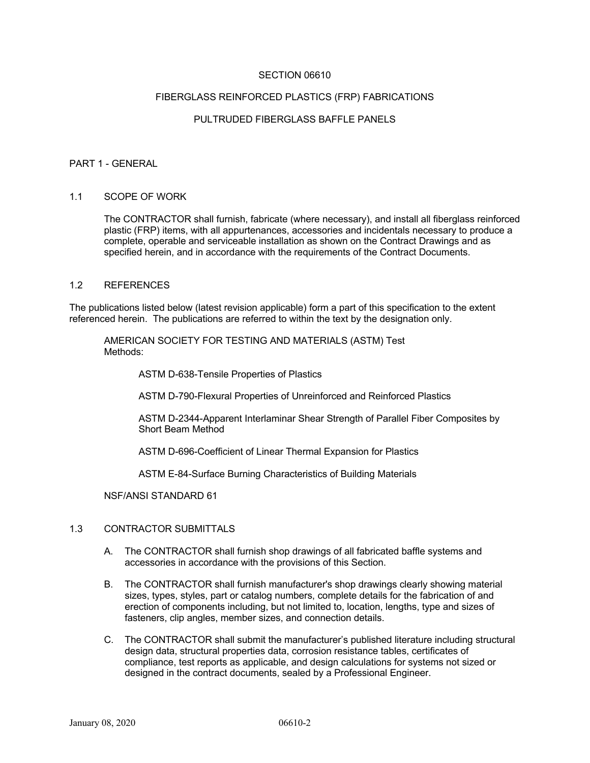# SECTION 06610

#### FIBERGLASS REINFORCED PLASTICS (FRP) FABRICATIONS

## PULTRUDED FIBERGLASS BAFFLE PANELS

#### PART 1 - GENERAL

#### 1.1 SCOPE OF WORK

The CONTRACTOR shall furnish, fabricate (where necessary), and install all fiberglass reinforced plastic (FRP) items, with all appurtenances, accessories and incidentals necessary to produce a complete, operable and serviceable installation as shown on the Contract Drawings and as specified herein, and in accordance with the requirements of the Contract Documents.

#### 1.2 REFERENCES

The publications listed below (latest revision applicable) form a part of this specification to the extent referenced herein. The publications are referred to within the text by the designation only.

AMERICAN SOCIETY FOR TESTING AND MATERIALS (ASTM) Test Methods:

ASTM D-638-Tensile Properties of Plastics

ASTM D-790-Flexural Properties of Unreinforced and Reinforced Plastics

ASTM D-2344-Apparent Interlaminar Shear Strength of Parallel Fiber Composites by Short Beam Method

ASTM D-696-Coefficient of Linear Thermal Expansion for Plastics

ASTM E-84-Surface Burning Characteristics of Building Materials

NSF/ANSI STANDARD 61

#### 1.3 CONTRACTOR SUBMITTALS

- A. The CONTRACTOR shall furnish shop drawings of all fabricated baffle systems and accessories in accordance with the provisions of this Section.
- B. The CONTRACTOR shall furnish manufacturer's shop drawings clearly showing material sizes, types, styles, part or catalog numbers, complete details for the fabrication of and erection of components including, but not limited to, location, lengths, type and sizes of fasteners, clip angles, member sizes, and connection details.
- C. The CONTRACTOR shall submit the manufacturer's published literature including structural design data, structural properties data, corrosion resistance tables, certificates of compliance, test reports as applicable, and design calculations for systems not sized or designed in the contract documents, sealed by a Professional Engineer.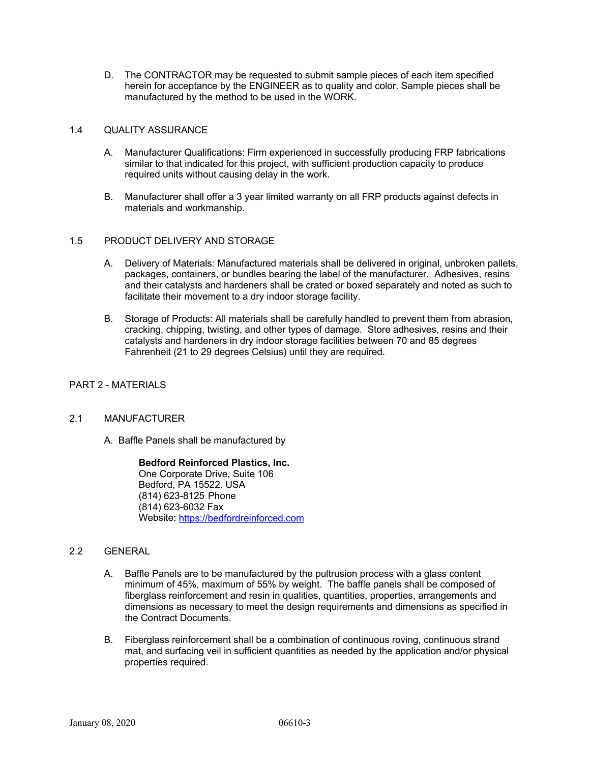D. The CONTRACTOR may be requested to submit sample pieces of each item specified herein for acceptance by the ENGINEER as to quality and color. Sample pieces shall be manufactured by the method to be used in the WORK.

# 1.4 QUALITY ASSURANCE

- A. Manufacturer Qualifications: Firm experienced in successfully producing FRP fabrications similar to that indicated for this project, with sufficient production capacity to produce required units without causing delay in the work.
- B. Manufacturer shall offer a 3 year limited warranty on all FRP products against defects in materials and workmanship.

# 1.5 PRODUCT DELIVERY AND STORAGE

- A. Delivery of Materials: Manufactured materials shall be delivered in original, unbroken pallets, packages, containers, or bundles bearing the label of the manufacturer. Adhesives, resins and their catalysts and hardeners shall be crated or boxed separately and noted as such to facilitate their movement to a dry indoor storage facility.
- B. Storage of Products: All materials shall be carefully handled to prevent them from abrasion, cracking, chipping, twisting, and other types of damage. Store adhesives, resins and their catalysts and hardeners in dry indoor storage facilities between 70 and 85 degrees Fahrenheit (21 to 29 degrees Celsius) until they are required.

## PART 2 - MATERIALS

# 2.1 MANUFACTURER

A. Baffle Panels shall be manufactured by

**Bedford Reinforced Plastics, Inc.** One Corporate Drive, Suite 106 Bedford, PA 15522. USA (814) 623-8125 Phone (814) 623-6032 Fax Website: https://bedfordreinforced.com

# 2.2 GENERAL

- A. Baffle Panels are to be manufactured by the pultrusion process with a glass content minimum of 45%, maximum of 55% by weight. The baffle panels shall be composed of fiberglass reinforcement and resin in qualities, quantities, properties, arrangements and dimensions as necessary to meet the design requirements and dimensions as specified in the Contract Documents.
- B. Fiberglass reinforcement shall be a combination of continuous roving, continuous strand mat, and surfacing veil in sufficient quantities as needed by the application and/or physical properties required.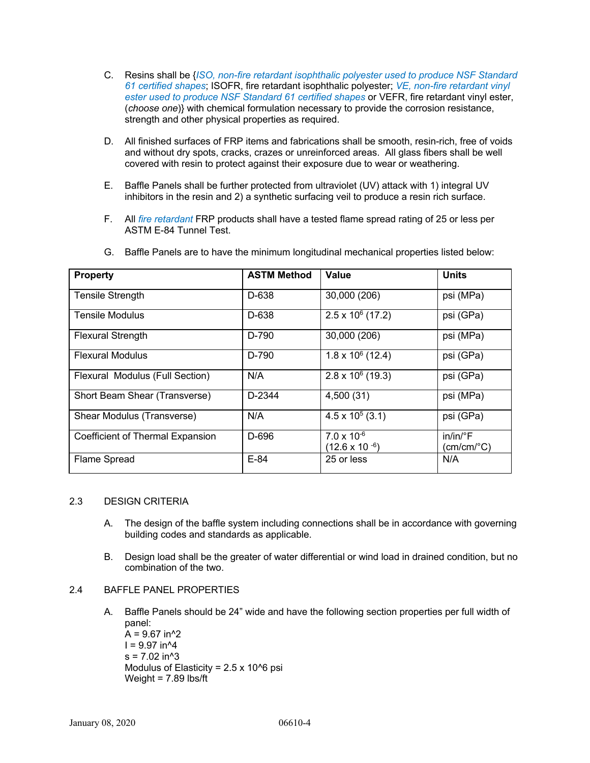- C. Resins shall be {*ISO, non-fire retardant isophthalic polyester used to produce NSF Standard 61 certified shapes*; ISOFR, fire retardant isophthalic polyester; *VE, non-fire retardant vinyl ester used to produce NSF Standard 61 certified shapes* or VEFR, fire retardant vinyl ester, (*choose one*)} with chemical formulation necessary to provide the corrosion resistance, strength and other physical properties as required.
- D. All finished surfaces of FRP items and fabrications shall be smooth, resin-rich, free of voids and without dry spots, cracks, crazes or unreinforced areas. All glass fibers shall be well covered with resin to protect against their exposure due to wear or weathering.
- E. Baffle Panels shall be further protected from ultraviolet (UV) attack with 1) integral UV inhibitors in the resin and 2) a synthetic surfacing veil to produce a resin rich surface.
- F. All *fire retardant* FRP products shall have a tested flame spread rating of 25 or less per ASTM E-84 Tunnel Test.

| <b>Property</b>                  | <b>ASTM Method</b> | Value                                           | <b>Units</b>                                      |  |  |
|----------------------------------|--------------------|-------------------------------------------------|---------------------------------------------------|--|--|
| <b>Tensile Strength</b>          | D-638              | 30,000 (206)                                    | psi (MPa)                                         |  |  |
| <b>Tensile Modulus</b>           | D-638              | $2.5 \times 10^6$ (17.2)                        | psi (GPa)                                         |  |  |
| <b>Flexural Strength</b>         | D-790              | 30,000 (206)                                    | psi (MPa)                                         |  |  |
| <b>Flexural Modulus</b>          | D-790              | $1.8 \times 10^6$ (12.4)                        | psi (GPa)                                         |  |  |
| Flexural Modulus (Full Section)  | N/A                | $2.8 \times 10^6$ (19.3)                        | psi (GPa)                                         |  |  |
| Short Beam Shear (Transverse)    | D-2344             | 4,500 (31)                                      | psi (MPa)                                         |  |  |
| Shear Modulus (Transverse)       | N/A                | $4.5 \times 10^5$ (3.1)                         | psi (GPa)                                         |  |  |
| Coefficient of Thermal Expansion | D-696              | $7.0 \times 10^{-6}$<br>$(12.6 \times 10^{-6})$ | $in/in/{}^{\circ}F$<br>$(cm/cm$ <sup>o</sup> $C)$ |  |  |
| Flame Spread                     | $E-84$             | 25 or less                                      | N/A                                               |  |  |

G. Baffle Panels are to have the minimum longitudinal mechanical properties listed below:

# 2.3 DESIGN CRITERIA

- A. The design of the baffle system including connections shall be in accordance with governing building codes and standards as applicable.
- B. Design load shall be the greater of water differential or wind load in drained condition, but no combination of the two.

# 2.4 BAFFLE PANEL PROPERTIES

A. Baffle Panels should be 24" wide and have the following section properties per full width of panel:

 $A = 9.67$  in<sup>^2</sup>  $I = 9.97$  in<sup> $4$ </sup>  $s = 7.02$  in<sup> $4$ </sup>3 Modulus of Elasticity =  $2.5 \times 10^{6}$  psi Weight = 7.89 lbs/ft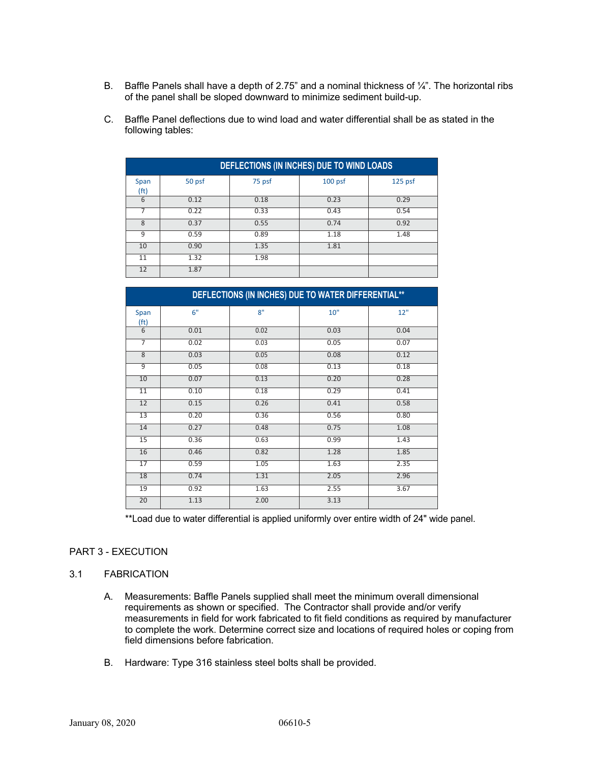- B. Baffle Panels shall have a depth of 2.75" and a nominal thickness of  $\frac{1}{4}$ ". The horizontal ribs of the panel shall be sloped downward to minimize sediment build-up.
- C. Baffle Panel deflections due to wind load and water differential shall be as stated in the following tables:

|                 | DEFLECTIONS (IN INCHES) DUE TO WIND LOADS |        |           |         |  |  |
|-----------------|-------------------------------------------|--------|-----------|---------|--|--|
| Span<br>(ft)    | 50 psf                                    | 75 psf | $100$ psf | 125 psf |  |  |
| 6               | 0.12                                      | 0.18   | 0.23      | 0.29    |  |  |
|                 | 0.22                                      | 0.33   | 0.43      | 0.54    |  |  |
| 8               | 0.37                                      | 0.55   | 0.74      | 0.92    |  |  |
| ٩               | 0.59                                      | 0.89   | 1.18      | 1.48    |  |  |
| 10              | 0.90                                      | 1.35   | 1.81      |         |  |  |
| 11              | 1.32                                      | 1.98   |           |         |  |  |
| 12 <sup>2</sup> | 1.87                                      |        |           |         |  |  |

| DEFLECTIONS (IN INCHES) DUE TO WATER DIFFERENTIAL** |      |      |      |      |  |  |
|-----------------------------------------------------|------|------|------|------|--|--|
| Span<br>(f <sup>t</sup> )                           | 6"   | 8"   | 10"  | 12"  |  |  |
| $\overline{6}$                                      | 0.01 | 0.02 | 0.03 | 0.04 |  |  |
| 7                                                   | 0.02 | 0.03 | 0.05 | 0.07 |  |  |
| 8                                                   | 0.03 | 0.05 | 0.08 | 0.12 |  |  |
| 9                                                   | 0.05 | 0.08 | 0.13 | 0.18 |  |  |
| 10                                                  | 0.07 | 0.13 | 0.20 | 0.28 |  |  |
| $\overline{11}$                                     | 0.10 | 0.18 | 0.29 | 0.41 |  |  |
| $\overline{12}$                                     | 0.15 | 0.26 | 0.41 | 0.58 |  |  |
| 13                                                  | 0.20 | 0.36 | 0.56 | 0.80 |  |  |
| 14                                                  | 0.27 | 0.48 | 0.75 | 1.08 |  |  |
| 15                                                  | 0.36 | 0.63 | 0.99 | 1.43 |  |  |
| 16                                                  | 0.46 | 0.82 | 1.28 | 1.85 |  |  |
| 17                                                  | 0.59 | 1.05 | 1.63 | 2.35 |  |  |
| 18                                                  | 0.74 | 1.31 | 2.05 | 2.96 |  |  |
| 19                                                  | 0.92 | 1.63 | 2.55 | 3.67 |  |  |
| 20                                                  | 1.13 | 2.00 | 3.13 |      |  |  |

\*\*Load due to water differential is applied uniformly over entire width of 24" wide panel.

#### PART 3 - EXECUTION

## 3.1 FABRICATION

- A. Measurements: Baffle Panels supplied shall meet the minimum overall dimensional requirements as shown or specified. The Contractor shall provide and/or verify measurements in field for work fabricated to fit field conditions as required by manufacturer to complete the work. Determine correct size and locations of required holes or coping from field dimensions before fabrication.
- B. Hardware: Type 316 stainless steel bolts shall be provided.